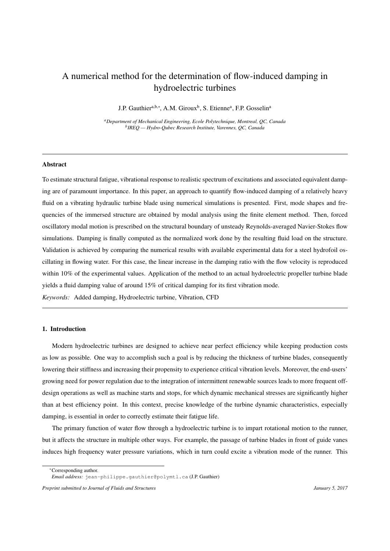# A numerical method for the determination of flow-induced damping in hydroelectric turbines

J.P. Gauthier<sup>a,b,\*</sup>, A.M. Giroux<sup>b</sup>, S. Etienne<sup>a</sup>, F.P. Gosselin<sup>a</sup>

*<sup>a</sup>Department of Mechanical Engineering, Ecole Polytechnique, Montreal, QC, Canada b IREQ — Hydro-Qubec Research Institute, Varennes, QC, Canada*

# Abstract

To estimate structural fatigue, vibrational response to realistic spectrum of excitations and associated equivalent damping are of paramount importance. In this paper, an approach to quantify flow-induced damping of a relatively heavy fluid on a vibrating hydraulic turbine blade using numerical simulations is presented. First, mode shapes and frequencies of the immersed structure are obtained by modal analysis using the finite element method. Then, forced oscillatory modal motion is prescribed on the structural boundary of unsteady Reynolds-averaged Navier-Stokes flow simulations. Damping is finally computed as the normalized work done by the resulting fluid load on the structure. Validation is achieved by comparing the numerical results with available experimental data for a steel hydrofoil oscillating in flowing water. For this case, the linear increase in the damping ratio with the flow velocity is reproduced within 10% of the experimental values. Application of the method to an actual hydroelectric propeller turbine blade yields a fluid damping value of around 15% of critical damping for its first vibration mode.

*Keywords:* Added damping, Hydroelectric turbine, Vibration, CFD

# 1. Introduction

Modern hydroelectric turbines are designed to achieve near perfect efficiency while keeping production costs as low as possible. One way to accomplish such a goal is by reducing the thickness of turbine blades, consequently lowering their stiffness and increasing their propensity to experience critical vibration levels. Moreover, the end-users' growing need for power regulation due to the integration of intermittent renewable sources leads to more frequent offdesign operations as well as machine starts and stops, for which dynamic mechanical stresses are significantly higher than at best efficiency point. In this context, precise knowledge of the turbine dynamic characteristics, especially damping, is essential in order to correctly estimate their fatigue life.

The primary function of water flow through a hydroelectric turbine is to impart rotational motion to the runner, but it affects the structure in multiple other ways. For example, the passage of turbine blades in front of guide vanes induces high frequency water pressure variations, which in turn could excite a vibration mode of the runner. This

<sup>∗</sup>Corresponding author.

*Email address:* jean-philippe.gauthier@polymtl.ca (J.P. Gauthier)

*Preprint submitted to Journal of Fluids and Structures January 5, 2017*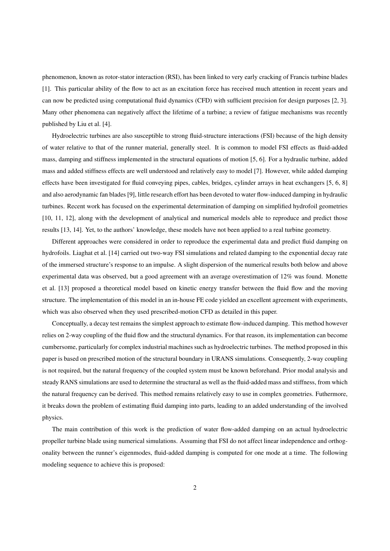phenomenon, known as rotor-stator interaction (RSI), has been linked to very early cracking of Francis turbine blades [1]. This particular ability of the flow to act as an excitation force has received much attention in recent years and can now be predicted using computational fluid dynamics (CFD) with sufficient precision for design purposes [2, 3]. Many other phenomena can negatively affect the lifetime of a turbine; a review of fatigue mechanisms was recently published by Liu et al. [4].

Hydroelectric turbines are also susceptible to strong fluid-structure interactions (FSI) because of the high density of water relative to that of the runner material, generally steel. It is common to model FSI effects as fluid-added mass, damping and stiffness implemented in the structural equations of motion [5, 6]. For a hydraulic turbine, added mass and added stiffness effects are well understood and relatively easy to model [7]. However, while added damping effects have been investigated for fluid conveying pipes, cables, bridges, cylinder arrays in heat exchangers [5, 6, 8] and also aerodynamic fan blades [9], little research effort has been devoted to water flow-induced damping in hydraulic turbines. Recent work has focused on the experimental determination of damping on simplified hydrofoil geometries [10, 11, 12], along with the development of analytical and numerical models able to reproduce and predict those results [13, 14]. Yet, to the authors' knowledge, these models have not been applied to a real turbine geometry.

Different approaches were considered in order to reproduce the experimental data and predict fluid damping on hydrofoils. Liaghat et al. [14] carried out two-way FSI simulations and related damping to the exponential decay rate of the immersed structure's response to an impulse. A slight dispersion of the numerical results both below and above experimental data was observed, but a good agreement with an average overestimation of 12% was found. Monette et al. [13] proposed a theoretical model based on kinetic energy transfer between the fluid flow and the moving structure. The implementation of this model in an in-house FE code yielded an excellent agreement with experiments, which was also observed when they used prescribed-motion CFD as detailed in this paper.

Conceptually, a decay test remains the simplest approach to estimate flow-induced damping. This method however relies on 2-way coupling of the fluid flow and the structural dynamics. For that reason, its implementation can become cumbersome, particularly for complex industrial machines such as hydroelectric turbines. The method proposed in this paper is based on prescribed motion of the structural boundary in URANS simulations. Consequently, 2-way coupling is not required, but the natural frequency of the coupled system must be known beforehand. Prior modal analysis and steady RANS simulations are used to determine the structural as well as the fluid-added mass and stiffness, from which the natural frequency can be derived. This method remains relatively easy to use in complex geometries. Futhermore, it breaks down the problem of estimating fluid damping into parts, leading to an added understanding of the involved physics.

The main contribution of this work is the prediction of water flow-added damping on an actual hydroelectric propeller turbine blade using numerical simulations. Assuming that FSI do not affect linear independence and orthogonality between the runner's eigenmodes, fluid-added damping is computed for one mode at a time. The following modeling sequence to achieve this is proposed: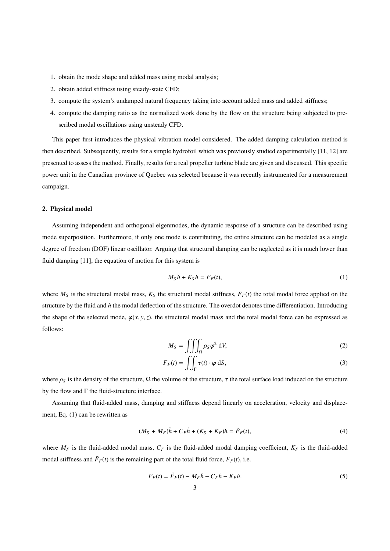- 1. obtain the mode shape and added mass using modal analysis;
- 2. obtain added stiffness using steady-state CFD;
- 3. compute the system's undamped natural frequency taking into account added mass and added stiffness;
- 4. compute the damping ratio as the normalized work done by the flow on the structure being subjected to prescribed modal oscillations using unsteady CFD.

This paper first introduces the physical vibration model considered. The added damping calculation method is then described. Subsequently, results for a simple hydrofoil which was previously studied experimentally [11, 12] are presented to assess the method. Finally, results for a real propeller turbine blade are given and discussed. This specific power unit in the Canadian province of Quebec was selected because it was recently instrumented for a measurement campaign.

### 2. Physical model

Assuming independent and orthogonal eigenmodes, the dynamic response of a structure can be described using mode superposition. Furthermore, if only one mode is contributing, the entire structure can be modeled as a single degree of freedom (DOF) linear oscillator. Arguing that structural damping can be neglected as it is much lower than fluid damping [11], the equation of motion for this system is

$$
M_S \ddot{h} + K_S h = F_F(t),\tag{1}
$$

where  $M_S$  is the structural modal mass,  $K_S$  the structural modal stiffness,  $F_F(t)$  the total modal force applied on the structure by the fluid and *h* the modal deflection of the structure. The overdot denotes time differentiation. Introducing the shape of the selected mode,  $\varphi(x, y, z)$ , the structural modal mass and the total modal force can be expressed as follows:

$$
M_S = \iiint_{\Omega} \rho_S \varphi^2 \, dV,\tag{2}
$$

$$
F_F(t) = \iint_{\Gamma} \tau(t) \cdot \varphi \, dS,
$$
\n(3)

where  $\rho_S$  is the density of the structure,  $\Omega$  the volume of the structure,  $\tau$  the total surface load induced on the structure by the flow and  $\Gamma$  the fluid-structure interface.

Assuming that fluid-added mass, damping and stiffness depend linearly on acceleration, velocity and displacement, Eq. (1) can be rewritten as

$$
(MS + MF)\ddot{h} + CF\dot{h} + (KS + KF)h = \tilde{F}F(t),
$$
\n(4)

where  $M_F$  is the fluid-added modal mass,  $C_F$  is the fluid-added modal damping coefficient,  $K_F$  is the fluid-added modal stiffness and  $\tilde{F}_F(t)$  is the remaining part of the total fluid force,  $F_F(t)$ , i.e.

$$
F_F(t) = \tilde{F}_F(t) - M_F \ddot{h} - C_F \dot{h} - K_F h. \tag{5}
$$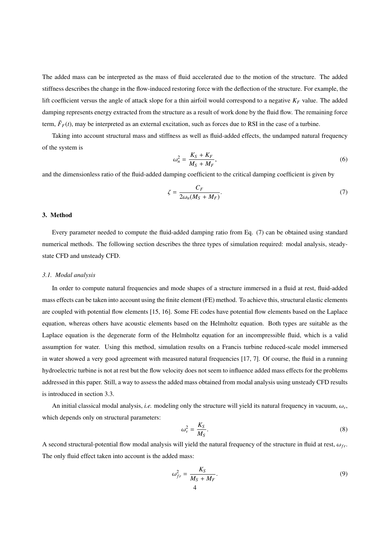The added mass can be interpreted as the mass of fluid accelerated due to the motion of the structure. The added stiffness describes the change in the flow-induced restoring force with the deflection of the structure. For example, the lift coefficient versus the angle of attack slope for a thin airfoil would correspond to a negative  $K_F$  value. The added damping represents energy extracted from the structure as a result of work done by the fluid flow. The remaining force term,  $\tilde{F}_F(t)$ , may be interpreted as an external excitation, such as forces due to RSI in the case of a turbine.

Taking into account structural mass and stiffness as well as fluid-added effects, the undamped natural frequency of the system is

$$
\omega_n^2 = \frac{K_S + K_F}{M_S + M_F},\tag{6}
$$

and the dimensionless ratio of the fluid-added damping coefficient to the critical damping coefficient is given by

$$
\zeta = \frac{C_F}{2\omega_n (M_S + M_F)}.\tag{7}
$$

# 3. Method

Every parameter needed to compute the fluid-added damping ratio from Eq. (7) can be obtained using standard numerical methods. The following section describes the three types of simulation required: modal analysis, steadystate CFD and unsteady CFD.

#### *3.1. Modal analysis*

In order to compute natural frequencies and mode shapes of a structure immersed in a fluid at rest, fluid-added mass effects can be taken into account using the finite element (FE) method. To achieve this, structural elastic elements are coupled with potential flow elements [15, 16]. Some FE codes have potential flow elements based on the Laplace equation, whereas others have acoustic elements based on the Helmholtz equation. Both types are suitable as the Laplace equation is the degenerate form of the Helmholtz equation for an incompressible fluid, which is a valid assumption for water. Using this method, simulation results on a Francis turbine reduced-scale model immersed in water showed a very good agreement with measured natural frequencies [17, 7]. Of course, the fluid in a running hydroelectric turbine is not at rest but the flow velocity does not seem to influence added mass effects for the problems addressed in this paper. Still, a way to assess the added mass obtained from modal analysis using unsteady CFD results is introduced in section 3.3.

An initial classical modal analysis, *i.e.* modeling only the structure will yield its natural frequency in vacuum, ω*<sup>v</sup>*, which depends only on structural parameters:

$$
\omega_{\nu}^2 = \frac{K_S}{M_S}.\tag{8}
$$

A second structural-potential flow modal analysis will yield the natural frequency of the structure in fluid at rest,  $\omega_f$ . The only fluid effect taken into account is the added mass:

$$
\omega_{fr}^2 = \frac{K_S}{M_S + M_F}.\tag{9}
$$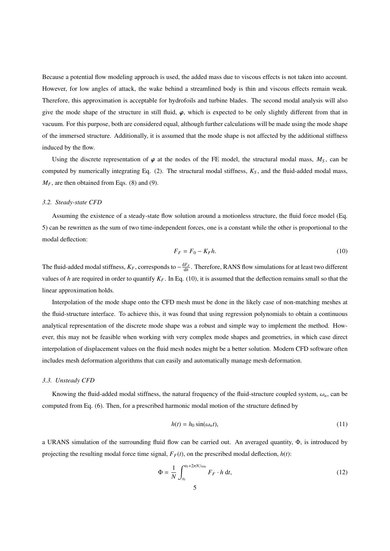Because a potential flow modeling approach is used, the added mass due to viscous effects is not taken into account. However, for low angles of attack, the wake behind a streamlined body is thin and viscous effects remain weak. Therefore, this approximation is acceptable for hydrofoils and turbine blades. The second modal analysis will also give the mode shape of the structure in still fluid,  $\varphi$ , which is expected to be only slightly different from that in vacuum. For this purpose, both are considered equal, although further calculations will be made using the mode shape of the immersed structure. Additionally, it is assumed that the mode shape is not affected by the additional stiffness induced by the flow.

Using the discrete representation of  $\varphi$  at the nodes of the FE model, the structural modal mass,  $M_S$ , can be computed by numerically integrating Eq. (2). The structural modal stiffness,  $K_S$ , and the fluid-added modal mass,  $M_F$ , are then obtained from Eqs. (8) and (9).

#### *3.2. Steady-state CFD*

Assuming the existence of a steady-state flow solution around a motionless structure, the fluid force model (Eq. 5) can be rewritten as the sum of two time-independent forces, one is a constant while the other is proportional to the modal deflection:

$$
F_F = F_0 - K_F h. \tag{10}
$$

The fluid-added modal stiffness,  $K_F$ , corresponds to  $-\frac{dF_F}{dh}$ . Therefore, RANS flow simulations for at least two different values of *h* are required in order to quantify *KF*. In Eq. (10), it is assumed that the deflection remains small so that the linear approximation holds.

Interpolation of the mode shape onto the CFD mesh must be done in the likely case of non-matching meshes at the fluid-structure interface. To achieve this, it was found that using regression polynomials to obtain a continuous analytical representation of the discrete mode shape was a robust and simple way to implement the method. However, this may not be feasible when working with very complex mode shapes and geometries, in which case direct interpolation of displacement values on the fluid mesh nodes might be a better solution. Modern CFD software often includes mesh deformation algorithms that can easily and automatically manage mesh deformation.

## *3.3. Unsteady CFD*

Knowing the fluid-added modal stiffness, the natural frequency of the fluid-structure coupled system, ω*<sup>n</sup>*, can be computed from Eq. (6). Then, for a prescribed harmonic modal motion of the structure defined by

$$
h(t) = h_0 \sin(\omega_n t),\tag{11}
$$

a URANS simulation of the surrounding fluid flow can be carried out. An averaged quantity, Φ, is introduced by projecting the resulting modal force time signal,  $F_F(t)$ , on the prescribed modal deflection,  $h(t)$ :

$$
\Phi = \frac{1}{N} \int_{t_0}^{t_0 + 2\pi N/\omega_n} F_F \cdot h \, dt,\tag{12}
$$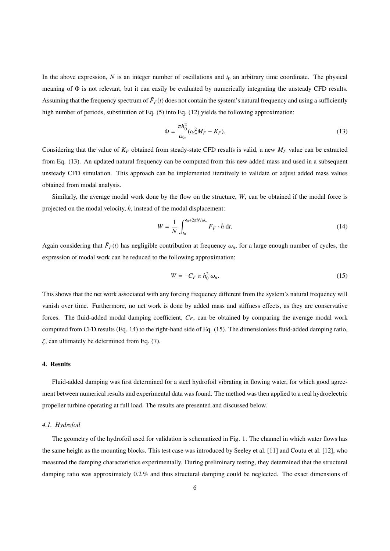In the above expression,  $N$  is an integer number of oscillations and  $t_0$  an arbitrary time coordinate. The physical meaning of  $\Phi$  is not relevant, but it can easily be evaluated by numerically integrating the unsteady CFD results. Assuming that the frequency spectrum of  $F_F(t)$  does not contain the system's natural frequency and using a sufficiently high number of periods, substitution of Eq. (5) into Eq. (12) yields the following approximation:

$$
\Phi = \frac{\pi h_0^2}{\omega_n} (\omega_n^2 M_F - K_F). \tag{13}
$$

Considering that the value of  $K_F$  obtained from steady-state CFD results is valid, a new  $M_F$  value can be extracted from Eq. (13). An updated natural frequency can be computed from this new added mass and used in a subsequent unsteady CFD simulation. This approach can be implemented iteratively to validate or adjust added mass values obtained from modal analysis.

Similarly, the average modal work done by the flow on the structure, *W*, can be obtained if the modal force is projected on the modal velocity,  $\dot{h}$ , instead of the modal displacement:

$$
W = \frac{1}{N} \int_{t_0}^{t_0 + 2\pi N/\omega_n} F_F \cdot \dot{h} dt.
$$
 (14)

Again considering that  $\tilde{F}_F(t)$  has negligible contribution at frequency  $\omega_n$ , for a large enough number of cycles, the expression of modal work can be reduced to the following approximation:

$$
W = -C_F \pi h_0^2 \omega_n. \tag{15}
$$

This shows that the net work associated with any forcing frequency different from the system's natural frequency will vanish over time. Furthermore, no net work is done by added mass and stiffness effects, as they are conservative forces. The fluid-added modal damping coefficient, *CF*, can be obtained by comparing the average modal work computed from CFD results (Eq. 14) to the right-hand side of Eq. (15). The dimensionless fluid-added damping ratio,  $\zeta$ , can ultimately be determined from Eq. (7).

## 4. Results

Fluid-added damping was first determined for a steel hydrofoil vibrating in flowing water, for which good agreement between numerical results and experimental data was found. The method was then applied to a real hydroelectric propeller turbine operating at full load. The results are presented and discussed below.

#### *4.1. Hydrofoil*

The geometry of the hydrofoil used for validation is schematized in Fig. 1. The channel in which water flows has the same height as the mounting blocks. This test case was introduced by Seeley et al. [11] and Coutu et al. [12], who measured the damping characteristics experimentally. During preliminary testing, they determined that the structural damping ratio was approximately <sup>0</sup>.2 % and thus structural damping could be neglected. The exact dimensions of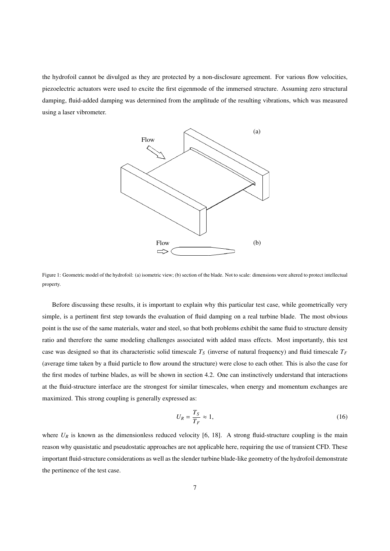the hydrofoil cannot be divulged as they are protected by a non-disclosure agreement. For various flow velocities, piezoelectric actuators were used to excite the first eigenmode of the immersed structure. Assuming zero structural damping, fluid-added damping was determined from the amplitude of the resulting vibrations, which was measured using a laser vibrometer.



Figure 1: Geometric model of the hydrofoil: (a) isometric view; (b) section of the blade. Not to scale: dimensions were altered to protect intellectual property.

Before discussing these results, it is important to explain why this particular test case, while geometrically very simple, is a pertinent first step towards the evaluation of fluid damping on a real turbine blade. The most obvious point is the use of the same materials, water and steel, so that both problems exhibit the same fluid to structure density ratio and therefore the same modeling challenges associated with added mass effects. Most importantly, this test case was designed so that its characteristic solid timescale  $T<sub>S</sub>$  (inverse of natural frequency) and fluid timescale  $T<sub>F</sub>$ (average time taken by a fluid particle to flow around the structure) were close to each other. This is also the case for the first modes of turbine blades, as will be shown in section 4.2. One can instinctively understand that interactions at the fluid-structure interface are the strongest for similar timescales, when energy and momentum exchanges are maximized. This strong coupling is generally expressed as:

$$
U_R = \frac{T_S}{T_F} \approx 1,\tag{16}
$$

where  $U_R$  is known as the dimensionless reduced velocity [6, 18]. A strong fluid-structure coupling is the main reason why quasistatic and pseudostatic approaches are not applicable here, requiring the use of transient CFD. These important fluid-structure considerations as well as the slender turbine blade-like geometry of the hydrofoil demonstrate the pertinence of the test case.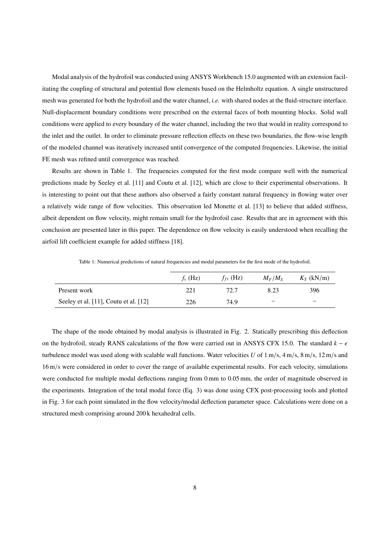Modal analysis of the hydrofoil was conducted using ANSYS Workbench 15.0 augmented with an extension facilitating the coupling of structural and potential flow elements based on the Helmholtz equation. A single unstructured mesh was generated for both the hydrofoil and the water channel, *i.e.* with shared nodes at the fluid-structure interface. Null-displacement boundary conditions were prescribed on the external faces of both mounting blocks. Solid wall conditions were applied to every boundary of the water channel, including the two that would in reality correspond to the inlet and the outlet. In order to eliminate pressure reflection effects on these two boundaries, the flow-wise length of the modeled channel was iteratively increased until convergence of the computed frequencies. Likewise, the initial FE mesh was refined until convergence was reached.

Results are shown in Table 1. The frequencies computed for the first mode compare well with the numerical predictions made by Seeley et al. [11] and Coutu et al. [12], which are close to their experimental observations. It is interesting to point out that these authors also observed a fairly constant natural frequency in flowing water over a relatively wide range of flow velocities. This observation led Monette et al. [13] to believe that added stiffness, albeit dependent on flow velocity, might remain small for the hydrofoil case. Results that are in agreement with this conclusion are presented later in this paper. The dependence on flow velocity is easily understood when recalling the airfoil lift coefficient example for added stiffness [18].

 $f_v$  (Hz)  $f_{fr}$  (Hz)  $M_F/M_S$  *K<sub>S</sub>* (kN/m)<br>221 72.7 8.23 396 Present work 221 72.7 8.23 396 Seeley et al. [11], Coutu et al. [12] 226 74.9

Table 1: Numerical predictions of natural frequencies and modal parameters for the first mode of the hydrofoil.

The shape of the mode obtained by modal analysis is illustrated in Fig. 2. Statically prescribing this deflection on the hydrofoil, steady RANS calculations of the flow were carried out in ANSYS CFX 15.0. The standard *<sup>k</sup>* <sup>−</sup> turbulence model was used along with scalable wall functions. Water velocities *<sup>U</sup>* of 1 m/s, 4 m/s, 8 m/s, 12 m/<sup>s</sup> and 16 m/<sup>s</sup> were considered in order to cover the range of available experimental results. For each velocity, simulations were conducted for multiple modal deflections ranging from 0 mm to <sup>0</sup>.05 mm, the order of magnitude observed in the experiments. Integration of the total modal force (Eq. 3) was done using CFX post-processing tools and plotted in Fig. 3 for each point simulated in the flow velocity/modal deflection parameter space. Calculations were done on a structured mesh comprising around 200 k hexahedral cells.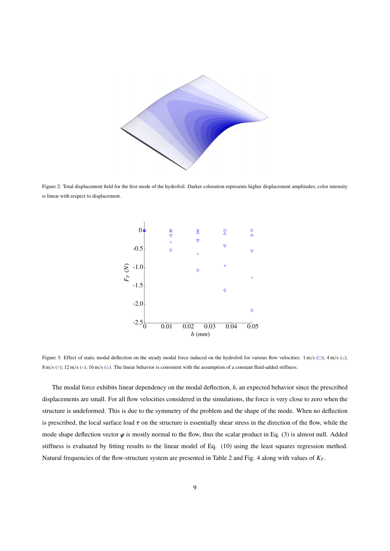

Figure 2: Total displacement field for the first mode of the hydrofoil. Darker coloration represents higher displacement amplitudes; color intensity is linear with respect to displacement.



Figure 3: Effect of static modal deflection on the steady modal force induced on the hydrofoil for various flow velocities:  $1 \text{ m/s } (\triangle);$   $4 \text{ m/s } (\triangle);$ 8 m/s ( $\sigma$ ); 12 m/s (+); 16 m/s ( $\diamond$ ). The linear behavior is consistent with the assumption of a constant fluid-added stiffness.

The modal force exhibits linear dependency on the modal deflection, *h*, an expected behavior since the prescribed displacements are small. For all flow velocities considered in the simulations, the force is very close to zero when the structure is undeformed. This is due to the symmetry of the problem and the shape of the mode. When no deflection is prescribed, the local surface load  $\tau$  on the structure is essentially shear stress in the direction of the flow, while the mode shape deflection vector  $\varphi$  is mostly normal to the flow, thus the scalar product in Eq. (3) is almost null. Added stiffness is evaluated by fitting results to the linear model of Eq. (10) using the least squares regression method. Natural frequencies of the flow-structure system are presented in Table 2 and Fig. 4 along with values of *KF*.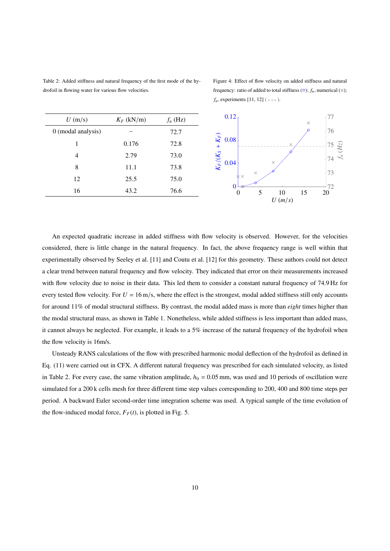| $U$ (m/s)          | $K_F$ (kN/m) | $f_n$ (Hz) |
|--------------------|--------------|------------|
| 0 (modal analysis) |              | 72.7       |
| 1                  | 0.176        | 72.8       |
| 4                  | 2.79         | 73.0       |
| 8                  | 11.1         | 73.8       |
| 12                 | 25.5         | 75.0       |
| 16                 | 43.2         | 76.6       |
|                    |              |            |

Table 2: Added stiffness and natural frequency of the first mode of the hydrofoil in flowing water for various flow velocities.

Figure 4: Effect of flow velocity on added stiffness and natural frequency: ratio of added to total stiffness ( $\circ$ ); *f<sub>n</sub>*, numerical ( $\times$ ); *f<sub>n</sub>*, experiments [11, 12] (---).



An expected quadratic increase in added stiffness with flow velocity is observed. However, for the velocities considered, there is little change in the natural frequency. In fact, the above frequency range is well within that experimentally observed by Seeley et al. [11] and Coutu et al. [12] for this geometry. These authors could not detect a clear trend between natural frequency and flow velocity. They indicated that error on their measurements increased with flow velocity due to noise in their data. This led them to consider a constant natural frequency of <sup>74</sup>.9 Hz for every tested flow velocity. For  $U = 16$  m/s, where the effect is the strongest, modal added stiffness still only accounts for around 11% of modal structural stiffness. By contrast, the modal added mass is more than *eight* times higher than the modal structural mass, as shown in Table 1. Nonetheless, while added stiffness is less important than added mass, it cannot always be neglected. For example, it leads to a 5% increase of the natural frequency of the hydrofoil when the flow velocity is 16m/s.

Unsteady RANS calculations of the flow with prescribed harmonic modal deflection of the hydrofoil as defined in Eq. (11) were carried out in CFX. A different natural frequency was prescribed for each simulated velocity, as listed in Table 2. For every case, the same vibration amplitude,  $h_0 = 0.05$  mm, was used and 10 periods of oscillation were simulated for a 200 k cells mesh for three different time step values corresponding to 200, 400 and 800 time steps per period. A backward Euler second-order time integration scheme was used. A typical sample of the time evolution of the flow-induced modal force,  $F_F(t)$ , is plotted in Fig. 5.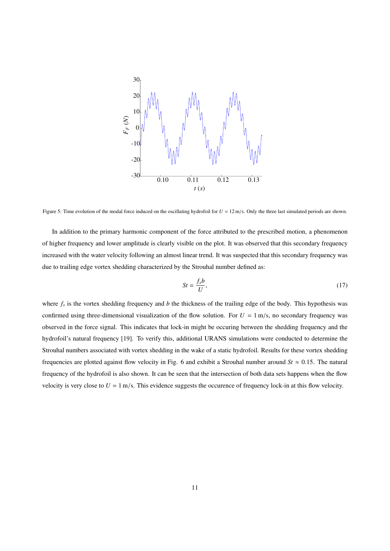

Figure 5: Time evolution of the modal force induced on the oscillating hydrofoil for  $U = 12$  m/s. Only the three last simulated periods are shown.

In addition to the primary harmonic component of the force attributed to the prescribed motion, a phenomenon of higher frequency and lower amplitude is clearly visible on the plot. It was observed that this secondary frequency increased with the water velocity following an almost linear trend. It was suspected that this secondary frequency was due to trailing edge vortex shedding characterized by the Strouhal number defined as:

$$
St = \frac{f_s b}{U},\tag{17}
$$

where  $f_s$  is the vortex shedding frequency and *b* the thickness of the trailing edge of the body. This hypothesis was confirmed using three-dimensional visualization of the flow solution. For  $U = 1$  m/s, no secondary frequency was observed in the force signal. This indicates that lock-in might be occuring between the shedding frequency and the hydrofoil's natural frequency [19]. To verify this, additional URANS simulations were conducted to determine the Strouhal numbers associated with vortex shedding in the wake of a static hydrofoil. Results for these vortex shedding frequencies are plotted against flow velocity in Fig. 6 and exhibit a Strouhal number around  $St \approx 0.15$ . The natural frequency of the hydrofoil is also shown. It can be seen that the intersection of both data sets happens when the flow velocity is very close to  $U = 1$  m/s. This evidence suggests the occurence of frequency lock-in at this flow velocity.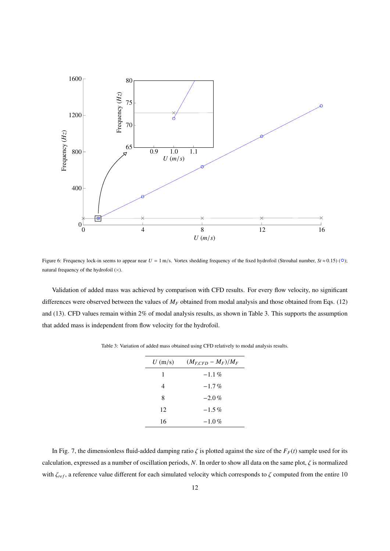

Figure 6: Frequency lock-in seems to appear near  $U = 1$  m/s. Vortex shedding frequency of the fixed hydrofoil (Strouhal number,  $St \approx 0.15$ ) ( $\circ$ ); natural frequency of the hydrofoil (×).

Validation of added mass was achieved by comparison with CFD results. For every flow velocity, no significant differences were observed between the values of  $M_F$  obtained from modal analysis and those obtained from Eqs. (12) and (13). CFD values remain within 2% of modal analysis results, as shown in Table 3. This supports the assumption that added mass is independent from flow velocity for the hydrofoil.

| $U$ (m/s) | $(M_{F,CFD}-M_F)/M_F$ |
|-----------|-----------------------|
| 1         | $-1.1\%$              |
| 4         | $-1.7\%$              |
| 8         | $-2.0\%$              |
| 12        | $-1.5\%$              |
| 16        | $-1.0\%$              |
|           |                       |

Table 3: Variation of added mass obtained using CFD relatively to modal analysis results.

In Fig. 7, the dimensionless fluid-added damping ratio  $\zeta$  is plotted against the size of the  $F_F(t)$  sample used for its calculation, expressed as a number of oscillation periods, *<sup>N</sup>*. In order to show all data on the same plot, ζ is normalized with  $\zeta_{ref}$ , a reference value different for each simulated velocity which corresponds to  $\zeta$  computed from the entire 10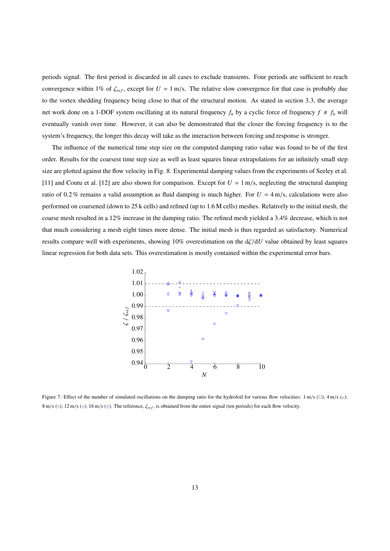periods signal. The first period is discarded in all cases to exclude transients. Four periods are sufficient to reach convergence within 1% of  $\zeta_{ref}$ , except for  $U = 1$  m/s. The relative slow convergence for that case is probably due to the vortex shedding frequency being close to that of the structural motion. As stated in section 3.3, the average net work done on a 1-DOF system oscillating at its natural frequency  $f_n$  by a cyclic force of frequency  $f \neq f_n$  will eventually vanish over time. However, it can also be demonstrated that the closer the forcing frequency is to the system's frequency, the longer this decay will take as the interaction between forcing and response is stronger.

The influence of the numerical time step size on the computed damping ratio value was found to be of the first order. Results for the coarsest time step size as well as least squares linear extrapolations for an infinitely small step size are plotted against the flow velocity in Fig. 8. Experimental damping values from the experiments of Seeley et al. [11] and Coutu et al. [12] are also shown for comparison. Except for  $U = 1$  m/s, neglecting the structural damping ratio of 0.2% remains a valid assumption as fluid damping is much higher. For  $U = 4$  m/s, calculations were also performed on coarsened (down to 25 k cells) and refined (up to <sup>1</sup>.6 M cells) meshes. Relatively to the initial mesh, the coarse mesh resulted in a 12% increase in the damping ratio. The refined mesh yielded a 3.4% decrease, which is not that much considering a mesh eight times more dense. The initial mesh is thus regarded as satisfactory. Numerical results compare well with experiments, showing 10% overestimation on the <sup>d</sup>ζ/d*<sup>U</sup>* value obtained by least squares linear regression for both data sets. This overestimation is mostly contained within the experimental error bars.



Figure 7: Effect of the number of simulated oscillations on the damping ratio for the hydrofoil for various flow velocities:  $1 \text{ m/s } (\Box)$ ;  $4 \text{ m/s } (\triangle)$ ; 8 m/s ( $\overline{v}$ ); 12 m/s (+); 16 m/s ( $\overline{v}$ ). The reference, ζ<sub>*ref*</sub>, is obtained from the entire signal (ten periods) for each flow velocity.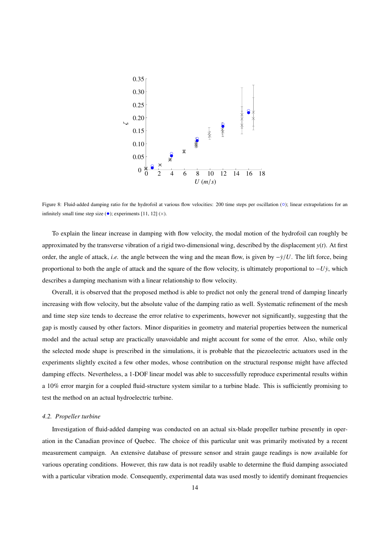

Figure 8: Fluid-added damping ratio for the hydrofoil at various flow velocities: 200 time steps per oscillation (○); linear extrapolations for an infinitely small time step size  $(\bullet)$ ; experiments [11, 12]  $(\times)$ .

To explain the linear increase in damping with flow velocity, the modal motion of the hydrofoil can roughly be approximated by the transverse vibration of a rigid two-dimensional wing, described by the displacement *y*(*t*). At first order, the angle of attack, *i.e.* the angle between the wing and the mean flow, is given by <sup>−</sup>*y*˙/*U*. The lift force, being proportional to both the angle of attack and the square of the flow velocity, is ultimately proportional to −*Uy*<sup>i</sup>, which describes a damping mechanism with a linear relationship to flow velocity.

Overall, it is observed that the proposed method is able to predict not only the general trend of damping linearly increasing with flow velocity, but the absolute value of the damping ratio as well. Systematic refinement of the mesh and time step size tends to decrease the error relative to experiments, however not significantly, suggesting that the gap is mostly caused by other factors. Minor disparities in geometry and material properties between the numerical model and the actual setup are practically unavoidable and might account for some of the error. Also, while only the selected mode shape is prescribed in the simulations, it is probable that the piezoelectric actuators used in the experiments slightly excited a few other modes, whose contribution on the structural response might have affected damping effects. Nevertheless, a 1-DOF linear model was able to successfully reproduce experimental results within a 10% error margin for a coupled fluid-structure system similar to a turbine blade. This is sufficiently promising to test the method on an actual hydroelectric turbine.

#### *4.2. Propeller turbine*

Investigation of fluid-added damping was conducted on an actual six-blade propeller turbine presently in operation in the Canadian province of Quebec. The choice of this particular unit was primarily motivated by a recent measurement campaign. An extensive database of pressure sensor and strain gauge readings is now available for various operating conditions. However, this raw data is not readily usable to determine the fluid damping associated with a particular vibration mode. Consequently, experimental data was used mostly to identify dominant frequencies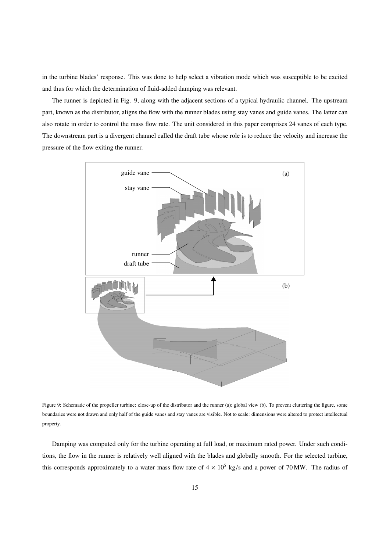in the turbine blades' response. This was done to help select a vibration mode which was susceptible to be excited and thus for which the determination of fluid-added damping was relevant.

The runner is depicted in Fig. 9, along with the adjacent sections of a typical hydraulic channel. The upstream part, known as the distributor, aligns the flow with the runner blades using stay vanes and guide vanes. The latter can also rotate in order to control the mass flow rate. The unit considered in this paper comprises 24 vanes of each type. The downstream part is a divergent channel called the draft tube whose role is to reduce the velocity and increase the pressure of the flow exiting the runner.



Figure 9: Schematic of the propeller turbine: close-up of the distributor and the runner (a); global view (b). To prevent cluttering the figure, some boundaries were not drawn and only half of the guide vanes and stay vanes are visible. Not to scale: dimensions were altered to protect intellectual property.

Damping was computed only for the turbine operating at full load, or maximum rated power. Under such conditions, the flow in the runner is relatively well aligned with the blades and globally smooth. For the selected turbine, this corresponds approximately to a water mass flow rate of  $4 \times 10^5$  kg/s and a power of 70 MW. The radius of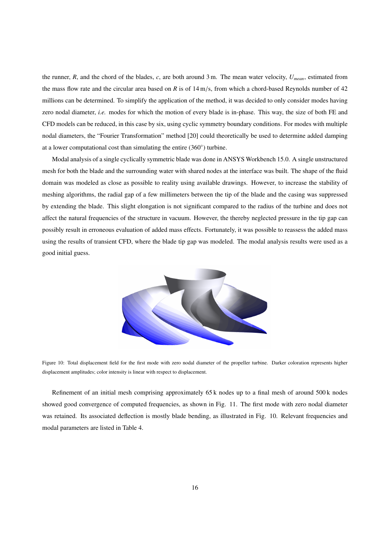the runner, *R*, and the chord of the blades, *c*, are both around 3 m. The mean water velocity, *Umean*, estimated from the mass flow rate and the circular area based on *<sup>R</sup>* is of 14 m/s, from which a chord-based Reynolds number of <sup>42</sup> millions can be determined. To simplify the application of the method, it was decided to only consider modes having zero nodal diameter, *i.e.* modes for which the motion of every blade is in-phase. This way, the size of both FE and CFD models can be reduced, in this case by six, using cyclic symmetry boundary conditions. For modes with multiple nodal diameters, the "Fourier Transformation" method [20] could theoretically be used to determine added damping at a lower computational cost than simulating the entire (360◦ ) turbine.

Modal analysis of a single cyclically symmetric blade was done in ANSYS Workbench 15.0. A single unstructured mesh for both the blade and the surrounding water with shared nodes at the interface was built. The shape of the fluid domain was modeled as close as possible to reality using available drawings. However, to increase the stability of meshing algorithms, the radial gap of a few millimeters between the tip of the blade and the casing was suppressed by extending the blade. This slight elongation is not significant compared to the radius of the turbine and does not affect the natural frequencies of the structure in vacuum. However, the thereby neglected pressure in the tip gap can possibly result in erroneous evaluation of added mass effects. Fortunately, it was possible to reassess the added mass using the results of transient CFD, where the blade tip gap was modeled. The modal analysis results were used as a good initial guess.



Figure 10: Total displacement field for the first mode with zero nodal diameter of the propeller turbine. Darker coloration represents higher displacement amplitudes; color intensity is linear with respect to displacement.

Refinement of an initial mesh comprising approximately 65 k nodes up to a final mesh of around 500 k nodes showed good convergence of computed frequencies, as shown in Fig. 11. The first mode with zero nodal diameter was retained. Its associated deflection is mostly blade bending, as illustrated in Fig. 10. Relevant frequencies and modal parameters are listed in Table 4.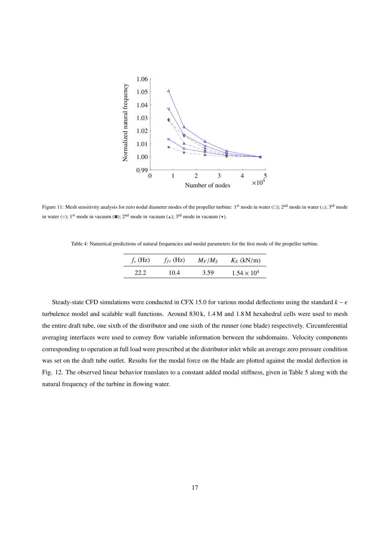

Figure 11: Mesh sensitivity analysis for zero nodal diameter modes of the propeller turbine: 1<sup>st</sup> mode in water ( $\Box$ ); 2<sup>nd</sup> mode in water ( $\triangle$ ); 3<sup>rd</sup> mode in water ( $\nabla$ ); 1<sup>st</sup> mode in vacuum (■); 2<sup>nd</sup> mode in vacuum (▲); 3<sup>rd</sup> mode in vacuum ( $\nabla$ ).

Table 4: Numerical predictions of natural frequencies and modal parameters for the first mode of the propeller turbine.

| $f_{\nu}$ (Hz) | $f_{fr}$ (Hz) | $M_F/M_S$ | $K_{\rm S}$ (kN/m)   |
|----------------|---------------|-----------|----------------------|
| 22.2           | 10.4          | 3.59      | $1.54 \times 10^{4}$ |
|                |               |           |                      |

Steady-state CFD simulations were conducted in CFX 15.0 for various modal deflections using the standard  $k - \epsilon$ turbulence model and scalable wall functions. Around 830 k, <sup>1</sup>.4 M and <sup>1</sup>.8 M hexahedral cells were used to mesh the entire draft tube, one sixth of the distributor and one sixth of the runner (one blade) respectively. Circumferential averaging interfaces were used to convey flow variable information between the subdomains. Velocity components corresponding to operation at full load were prescribed at the distributor inlet while an average zero pressure condition was set on the draft tube outlet. Results for the modal force on the blade are plotted against the modal deflection in Fig. 12. The observed linear behavior translates to a constant added modal stiffness, given in Table 5 along with the natural frequency of the turbine in flowing water.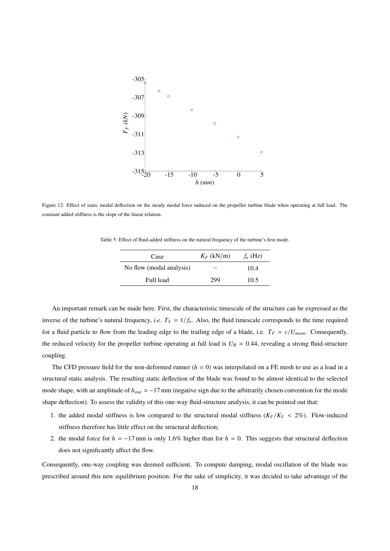

Figure 12: Effect of static modal deflection on the steady modal force induced on the propeller turbine blade when operating at full load. The constant added stiffness is the slope of the linear relation.

Table 5: Effect of fluid-added stiffness on the natural frequency of the turbine's first mode.

| Case                     | $K_F$ (kN/m) | $f_n$ (Hz) |
|--------------------------|--------------|------------|
| No flow (modal analysis) |              | 10.4       |
| Full load                | 299          | 10.5       |
|                          |              |            |

An important remark can be made here. First, the characteristic timescale of the structure can be expressed as the inverse of the turbine's natural frequency, *i.e.*  $T_s = 1/f_n$ . Also, the fluid timescale corresponds to the time required for a fluid particle to flow from the leading edge to the trailing edge of a blade, i.e.  $T_F = c/U_{mean}$ . Consequently, the reduced velocity for the propeller turbine operating at full load is  $U_R \approx 0.44$ , revealing a strong fluid-structure coupling.

The CFD pressure field for the non-deformed runner  $(h = 0)$  was interpolated on a FE mesh to use as a load in a structural static analysis. The resulting static deflection of the blade was found to be almost identical to the selected mode shape, with an amplitude of *hstat* = −17 mm (negative sign due to the arbitrarily chosen convention for the mode shape deflection). To assess the validity of this one-way fluid-structure analysis, it can be pointed out that:

- 1. the added modal stiffness is low compared to the structural modal stiffness  $(K_F/K_S < 2\%)$ . Flow-induced stiffness therefore has little effect on the structural deflection;
- 2. the modal force for *h* = −17 mm is only 1.6% higher than for *h* = 0. This suggests that structural deflection does not significantly affect the flow.

Consequently, one-way coupling was deemed sufficient. To compute damping, modal oscillation of the blade was prescribed around this new equilibrium position. For the sake of simplicity, it was decided to take advantage of the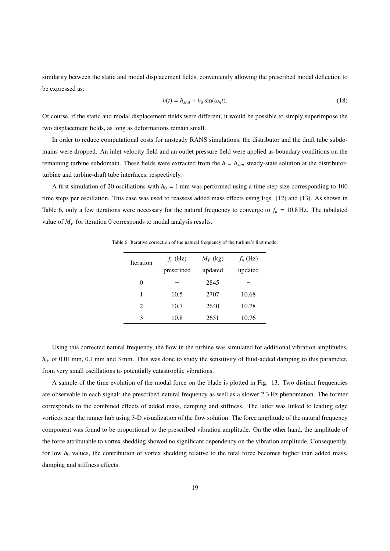similarity between the static and modal displacement fields, conveniently allowing the prescribed modal deflection to be expressed as:

$$
h(t) = h_{stat} + h_0 \sin(\omega_n t). \tag{18}
$$

Of course, if the static and modal displacement fields were different, it would be possible to simply superimpose the two displacement fields, as long as deformations remain small.

In order to reduce computational costs for unsteady RANS simulations, the distributor and the draft tube subdomains were dropped. An inlet velocity field and an outlet pressure field were applied as boundary conditions on the remaining turbine subdomain. These fields were extracted from the  $h = h_{stat}$  steady-state solution at the distributorturbine and turbine-draft tube interfaces, respectively.

A first simulation of 20 oscillations with  $h_0 = 1$  mm was performed using a time step size corresponding to 100 time steps per oscillation. This case was used to reassess added mass effects using Eqs. (12) and (13). As shown in Table 6, only a few iterations were necessary for the natural frequency to converge to  $f_n = 10.8$  Hz. The tabulated value of  $M_F$  for iteration 0 corresponds to modal analysis results.

| <b>Iteration</b>            | $f_n$ (Hz) | $M_F$ (kg) | $f_n$ (Hz) |
|-----------------------------|------------|------------|------------|
|                             | prescribed | updated    | updated    |
| 0                           |            | 2845       |            |
| 1                           | 10.5       | 2707       | 10.68      |
| $\mathcal{D}_{\mathcal{L}}$ | 10.7       | 2640       | 10.78      |
| 3                           | 10.8       | 2651       | 10.76      |
|                             |            |            |            |

Table 6: Iterative correction of the natural frequency of the turbine's first mode.

Using this corrected natural frequency, the flow in the turbine was simulated for additional vibration amplitudes, *h*<sub>0</sub>, of 0.01 mm, 0.1 mm and 3 mm. This was done to study the sensitivity of fluid-added damping to this parameter, from very small oscillations to potentially catastrophic vibrations.

A sample of the time evolution of the modal force on the blade is plotted in Fig. 13. Two distinct frequencies are observable in each signal: the prescribed natural frequency as well as a slower <sup>2</sup>.3 Hz phenomenon. The former corresponds to the combined effects of added mass, damping and stiffness. The latter was linked to leading edge vortices near the runner hub using 3-D visualization of the flow solution. The force amplitude of the natural frequency component was found to be proportional to the prescribed vibration amplitude. On the other hand, the amplitude of the force attributable to vortex shedding showed no significant dependency on the vibration amplitude. Consequently, for low  $h_0$  values, the contribution of vortex shedding relative to the total force becomes higher than added mass, damping and stiffness effects.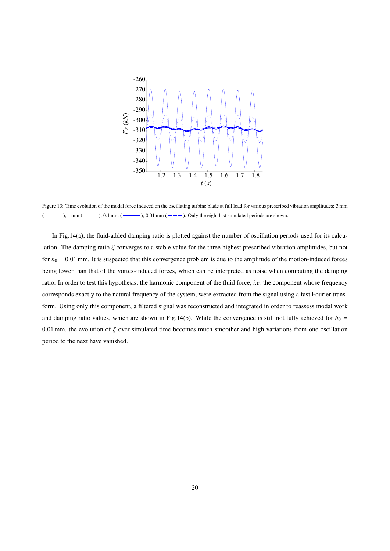

Figure 13: Time evolution of the modal force induced on the oscillating turbine blade at full load for various prescribed vibration amplitudes: 3 mm  $($   $($   $)$ ; 1 mm  $($   $)$ ; 0.1 mm  $($   $)$   $)$ ; 0.01 mm  $($   $)$ . Only the eight last simulated periods are shown.

In Fig.14(a), the fluid-added damping ratio is plotted against the number of oscillation periods used for its calculation. The damping ratio  $\zeta$  converges to a stable value for the three highest prescribed vibration amplitudes, but not for  $h_0 = 0.01$  mm. It is suspected that this convergence problem is due to the amplitude of the motion-induced forces being lower than that of the vortex-induced forces, which can be interpreted as noise when computing the damping ratio. In order to test this hypothesis, the harmonic component of the fluid force, *i.e.* the component whose frequency corresponds exactly to the natural frequency of the system, were extracted from the signal using a fast Fourier transform. Using only this component, a filtered signal was reconstructed and integrated in order to reassess modal work and damping ratio values, which are shown in Fig.14(b). While the convergence is still not fully achieved for  $h_0 =$ 0.01 mm, the evolution of  $\zeta$  over simulated time becomes much smoother and high variations from one oscillation period to the next have vanished.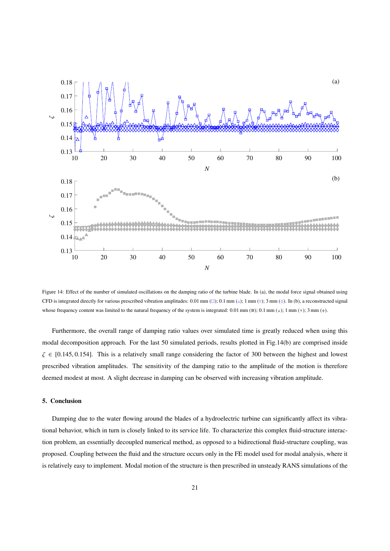

Figure 14: Effect of the number of simulated oscillations on the damping ratio of the turbine blade. In (a), the modal force signal obtained using CFD is integrated directly for various prescribed vibration amplitudes: 0.01 mm ( $\Box$ ); 0.1 mm ( $\Box$ ); 1 mm ( $\Diamond$ ); 3 mm ( $\Diamond$ ). In (b), a reconstructed signal whose frequency content was limited to the natural frequency of the system is integrated: 0.01 mm ( $\equiv$ ); 0.1 mm ( $\equiv$ ); 1 mm ( $\equiv$ ); 3 mm ( $\equiv$ ).

Furthermore, the overall range of damping ratio values over simulated time is greatly reduced when using this modal decomposition approach. For the last 50 simulated periods, results plotted in Fig.14(b) are comprised inside  $\zeta \in [0.145, 0.154]$ . This is a relatively small range considering the factor of 300 between the highest and lowest prescribed vibration amplitudes. The sensitivity of the damping ratio to the amplitude of the motion is therefore deemed modest at most. A slight decrease in damping can be observed with increasing vibration amplitude.

## 5. Conclusion

Damping due to the water flowing around the blades of a hydroelectric turbine can significantly affect its vibrational behavior, which in turn is closely linked to its service life. To characterize this complex fluid-structure interaction problem, an essentially decoupled numerical method, as opposed to a bidirectional fluid-structure coupling, was proposed. Coupling between the fluid and the structure occurs only in the FE model used for modal analysis, where it is relatively easy to implement. Modal motion of the structure is then prescribed in unsteady RANS simulations of the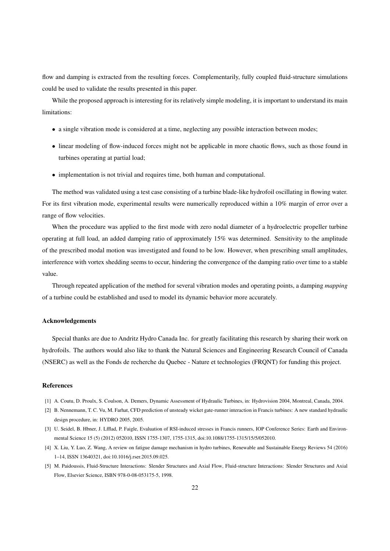flow and damping is extracted from the resulting forces. Complementarily, fully coupled fluid-structure simulations could be used to validate the results presented in this paper.

While the proposed approach is interesting for its relatively simple modeling, it is important to understand its main limitations:

- a single vibration mode is considered at a time, neglecting any possible interaction between modes;
- linear modeling of flow-induced forces might not be applicable in more chaotic flows, such as those found in turbines operating at partial load;
- implementation is not trivial and requires time, both human and computational.

The method was validated using a test case consisting of a turbine blade-like hydrofoil oscillating in flowing water. For its first vibration mode, experimental results were numerically reproduced within a 10% margin of error over a range of flow velocities.

When the procedure was applied to the first mode with zero nodal diameter of a hydroelectric propeller turbine operating at full load, an added damping ratio of approximately 15% was determined. Sensitivity to the amplitude of the prescribed modal motion was investigated and found to be low. However, when prescribing small amplitudes, interference with vortex shedding seems to occur, hindering the convergence of the damping ratio over time to a stable value.

Through repeated application of the method for several vibration modes and operating points, a damping *mapping* of a turbine could be established and used to model its dynamic behavior more accurately.

## Acknowledgements

Special thanks are due to Andritz Hydro Canada Inc. for greatly facilitating this research by sharing their work on hydrofoils. The authors would also like to thank the Natural Sciences and Engineering Research Council of Canada (NSERC) as well as the Fonds de recherche du Quebec - Nature et technologies (FRQNT) for funding this project.

#### References

- [1] A. Coutu, D. Proulx, S. Coulson, A. Demers, Dynamic Assessment of Hydraulic Turbines, in: Hydrovision 2004, Montreal, Canada, 2004.
- [2] B. Nennemann, T. C. Vu, M. Farhat, CFD prediction of unsteady wicket gate-runner interaction in Francis turbines: A new standard hydraulic design procedure, in: HYDRO 2005, 2005.
- [3] U. Seidel, B. Hbner, J. Lfflad, P. Faigle, Evaluation of RSI-induced stresses in Francis runners, IOP Conference Series: Earth and Environmental Science 15 (5) (2012) 052010, ISSN 1755-1307, 1755-1315, doi:10.1088/1755-1315/15/5/052010.
- [4] X. Liu, Y. Luo, Z. Wang, A review on fatigue damage mechanism in hydro turbines, Renewable and Sustainable Energy Reviews 54 (2016) 1–14, ISSN 13640321, doi:10.1016/j.rser.2015.09.025.
- [5] M. Paidoussis, Fluid-Structure Interactions: Slender Structures and Axial Flow, Fluid-structure Interactions: Slender Structures and Axial Flow, Elsevier Science, ISBN 978-0-08-053175-5, 1998.